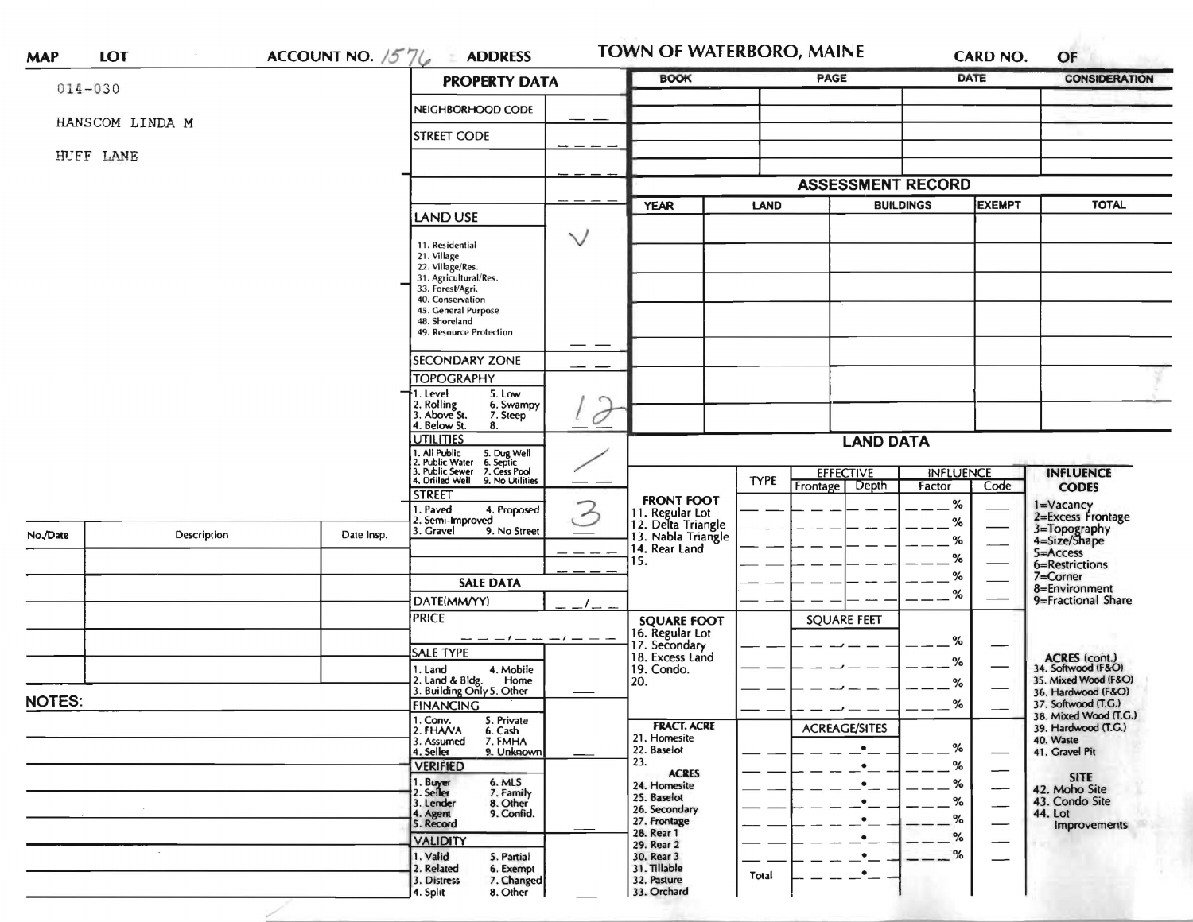| $014 - 030$   |                 |                                                                                                                           | <b>PROPERTY DATA</b>                                         | <b>BOOK</b>                                                 |                                    | PAGE                       |                  | <b>DATE</b>                      | <b>CONSIDERATION</b>                         |
|---------------|-----------------|---------------------------------------------------------------------------------------------------------------------------|--------------------------------------------------------------|-------------------------------------------------------------|------------------------------------|----------------------------|------------------|----------------------------------|----------------------------------------------|
|               |                 |                                                                                                                           | NEIGHBORHOOD CODE                                            |                                                             |                                    |                            |                  |                                  |                                              |
|               | HANSCOM LINDA M |                                                                                                                           | <b>STREET CODE</b>                                           |                                                             |                                    |                            |                  |                                  |                                              |
|               | HUFF LANE       |                                                                                                                           |                                                              |                                                             |                                    |                            |                  |                                  |                                              |
|               |                 |                                                                                                                           |                                                              |                                                             |                                    |                            |                  |                                  |                                              |
|               |                 |                                                                                                                           |                                                              |                                                             |                                    | <b>ASSESSMENT RECORD</b>   |                  |                                  | <b>TOTAL</b>                                 |
|               |                 |                                                                                                                           | <b>LAND USE</b>                                              | <b>YEAR</b>                                                 | LAND                               |                            | <b>BUILDINGS</b> | <b>EXEMPT</b>                    |                                              |
|               |                 |                                                                                                                           | $\checkmark$<br>11. Residential                              |                                                             |                                    |                            |                  |                                  |                                              |
|               |                 |                                                                                                                           | 21. Village<br>22. Village/Res.                              |                                                             |                                    |                            |                  |                                  |                                              |
|               |                 |                                                                                                                           | 31. Agricultural/Res.                                        |                                                             |                                    |                            |                  |                                  |                                              |
|               |                 |                                                                                                                           | 33. Forest/Agri.<br>40. Conservation                         |                                                             |                                    |                            |                  |                                  |                                              |
|               |                 |                                                                                                                           | 45. General Purpose<br>48. Shoreland                         |                                                             |                                    |                            |                  |                                  |                                              |
|               |                 |                                                                                                                           | 49. Resource Protection                                      |                                                             |                                    |                            |                  |                                  |                                              |
|               |                 |                                                                                                                           | <b>SECONDARY ZONE</b>                                        |                                                             |                                    |                            |                  |                                  |                                              |
|               |                 |                                                                                                                           | <b>TOPOGRAPHY</b>                                            |                                                             |                                    |                            |                  |                                  |                                              |
|               |                 |                                                                                                                           | $\overline{\cdot}$ 1. Level<br>5. Low<br>6. Swampy           |                                                             |                                    |                            |                  |                                  |                                              |
|               |                 |                                                                                                                           | 2. Rolling<br>3. Above St.<br>7. Steep<br>4. Below St.<br>8. |                                                             |                                    |                            |                  |                                  |                                              |
|               |                 |                                                                                                                           | <b>UTILITIES</b>                                             |                                                             | <b>LAND DATA</b>                   |                            |                  |                                  |                                              |
|               |                 | 1. All Public 5. Dug Well<br>1. Public Water 6. Septic<br>3. Public Sewer 7. Cess Pool<br>4. Drilled Well 9. No Utilities |                                                              |                                                             |                                    |                            |                  |                                  |                                              |
|               |                 |                                                                                                                           |                                                              | <b>TYPE</b>                                                 | <b>EFFECTIVE</b><br>Frontage Depth | <b>INFLUENCE</b><br>Factor | Code             | <b>INFLUENCE</b><br><b>CODES</b> |                                              |
|               |                 |                                                                                                                           | <b>STREET</b>                                                | <b>FRONT FOOT</b>                                           |                                    |                            | %                |                                  |                                              |
|               |                 |                                                                                                                           | . Paved<br>4. Proposed<br>2. Semi-Improved                   | 11. Regular Lot<br>12. Delta Triangle<br>13. Nabla Triangle |                                    |                            | %                |                                  | 1=Vacancy<br>2=Excess Frontage               |
| No./Date      | Description     | Date Insp.                                                                                                                | 3. Gravel<br>9. No Street                                    |                                                             |                                    |                            | %                |                                  | 3=Topography<br>4=Size/Shape                 |
|               |                 |                                                                                                                           | $\frac{1}{2}$                                                | 14. Rear Land<br>15.                                        |                                    |                            | %                |                                  | $5 =$ Access                                 |
|               |                 |                                                                                                                           |                                                              |                                                             |                                    |                            | %                |                                  | 6=Restrictions<br>7=Corner                   |
|               |                 |                                                                                                                           | <b>SALE DATA</b>                                             |                                                             |                                    |                            | $\%$             |                                  | 8=Environment                                |
|               |                 |                                                                                                                           | DATE(MM/YY)<br><b>PRICE</b>                                  |                                                             |                                    | <b>SQUARE FEET</b>         |                  |                                  | 9=Fractional Share                           |
|               |                 |                                                                                                                           | $---/-------$                                                | <b>SQUARE FOOT</b>                                          |                                    |                            |                  |                                  |                                              |
|               |                 |                                                                                                                           | SALE TYPE                                                    | 16. Regular Lot<br>17. Secondary<br>18. Excess Land         |                                    |                            | %                |                                  |                                              |
|               |                 |                                                                                                                           | 1. Land<br>4. Mobile                                         | 19. Condo.                                                  |                                    |                            | $\%$             |                                  | ACRES (cont.)<br>34. Softwood (F&O)          |
|               |                 |                                                                                                                           | 2. Land & Bldg. Home<br>3. Building Only 5. Other<br>Home    | 20.                                                         |                                    |                            | %                |                                  | 35. Mixed Wood (F&O)<br>36. Hardwood (F&O)   |
| <b>NOTES:</b> |                 |                                                                                                                           | <b>FINANCING</b>                                             |                                                             |                                    |                            | $\%$             |                                  | 37. Softwood (T.G.)                          |
|               |                 |                                                                                                                           | 1. Conv.<br>5. Private<br>2. FHANA<br>6. Cash                | <b>FRACT. ACRE</b>                                          |                                    | <b>ACREAGE/SITES</b>       |                  |                                  | 38. Mixed Wood (T.G.)<br>39. Hardwood (T.G.) |
|               |                 |                                                                                                                           | 7. FMHA<br>3. Assumed                                        | 21. Homesite<br>22. Baselot                                 |                                    | $\bullet$                  | $- -$ %          |                                  | 40. Waste                                    |
|               |                 |                                                                                                                           | 9. Unknown<br>4. Seller<br><b>VERIFIED</b>                   | 23.                                                         |                                    | $\bullet$                  | %                |                                  | 41. Gravel Pit                               |
|               |                 |                                                                                                                           | 1. Buyer<br>6. MLS                                           | <b>ACRES</b><br>24. Homesite                                |                                    |                            | %                |                                  | <b>SITE</b>                                  |
|               |                 |                                                                                                                           | 2. Seller<br>7. Family<br>8. Other<br>3. Lender              | 25. Baselot                                                 |                                    |                            | $- -$ %          |                                  | 42. Moho Site<br>43. Condo Site              |
|               |                 |                                                                                                                           | 9. Confid.<br>4. Agent<br>5. Record                          | 26. Secondary<br>27. Frontage                               |                                    |                            | %                | —                                | 44. Lot                                      |
|               |                 |                                                                                                                           | <b>VALIDITY</b>                                              | 28. Rear 1                                                  |                                    | $\bullet$                  | %                |                                  | Improvements                                 |
|               | $\sim$          |                                                                                                                           | 1. Valid<br>5. Partial                                       | 29. Rear 2<br>30. Rear 3                                    |                                    | $\bullet$                  | $-$ %            |                                  |                                              |
|               |                 |                                                                                                                           | 2. Related<br>6. Exempt                                      | 31. Tillable                                                |                                    |                            |                  |                                  |                                              |
|               |                 |                                                                                                                           | 3. Distress<br>7. Changed                                    | 32. Pasture                                                 | Total                              | $\bullet$                  |                  |                                  |                                              |